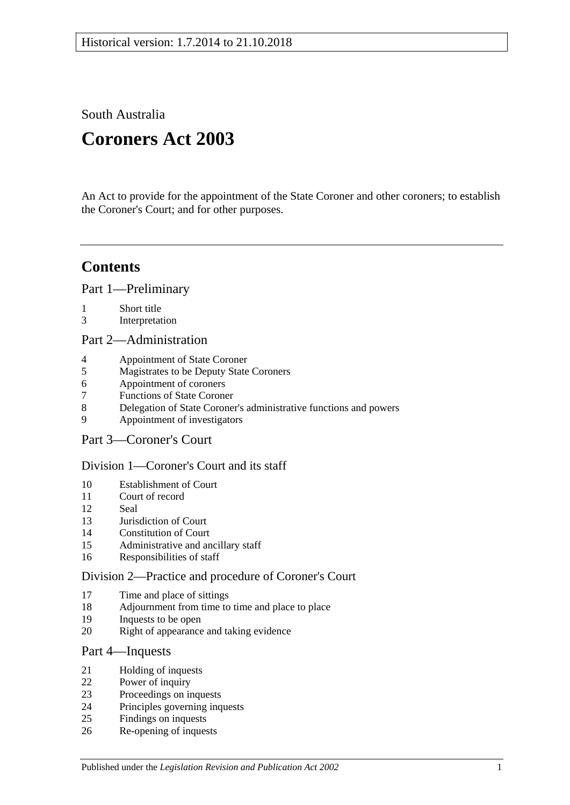South Australia

# **Coroners Act 2003**

An Act to provide for the appointment of the State Coroner and other coroners; to establish the Coroner's Court; and for other purposes.

# **Contents**

[Part 1—Preliminary](#page-1-0)

- [Short title](#page-1-1)
- [Interpretation](#page-1-2)

[Part 2—Administration](#page-4-0)

- [Appointment of State Coroner](#page-4-1)
- [Magistrates to be Deputy State Coroners](#page-4-2)
- [Appointment of coroners](#page-4-3)
- [Functions of State Coroner](#page-5-0)
- [Delegation of State Coroner's administrative functions and powers](#page-5-1)
- [Appointment of investigators](#page-5-2)
- [Part 3—Coroner's Court](#page-5-3)

#### [Division 1—Coroner's Court and its staff](#page-5-4)

- [Establishment of Court](#page-5-5)
- [Court of record](#page-6-0)<br>12 Seal
- [Seal](#page-6-1)
- [Jurisdiction of Court](#page-6-2)
- [Constitution of Court](#page-6-3)
- [Administrative and ancillary staff](#page-6-4)
- [Responsibilities of staff](#page-6-5)

#### [Division 2—Practice and procedure of Coroner's Court](#page-6-6)

- [Time and place of sittings](#page-6-7)
- [Adjournment from time to time and place to place](#page-6-8)
- [Inquests to be open](#page-7-0)
- [Right of appearance and taking evidence](#page-7-1)

#### [Part 4—Inquests](#page-7-2)

- [Holding of inquests](#page-7-3)
- [Power of inquiry](#page-8-0)
- [Proceedings on inquests](#page-9-0)
- [Principles governing inquests](#page-10-0)
- [Findings on inquests](#page-10-1)
- [Re-opening of inquests](#page-11-0)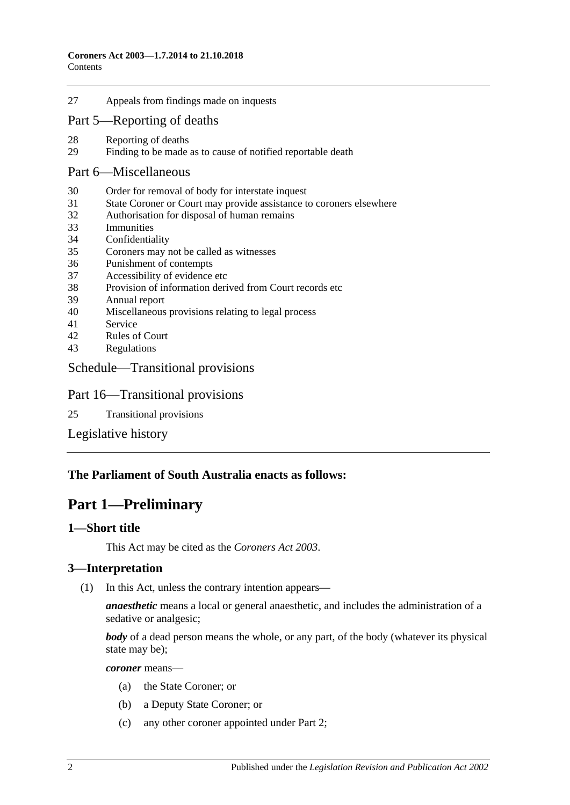27 [Appeals from findings made on inquests](#page-11-1)

### [Part 5—Reporting of deaths](#page-12-0)

- 28 [Reporting of deaths](#page-12-1)<br>29 Finding to be made
- [Finding to be made as to cause of notified reportable death](#page-12-2)

#### [Part 6—Miscellaneous](#page-12-3)

- 30 [Order for removal of body for interstate inquest](#page-12-4)
- 31 [State Coroner or Court may provide assistance to coroners elsewhere](#page-13-0)
- 32 [Authorisation for disposal of human remains](#page-13-1)
- 33 [Immunities](#page-13-2)
- 34 [Confidentiality](#page-13-3)
- 35 [Coroners may not be called as](#page-13-4) witnesses
- 36 [Punishment of contempts](#page-14-0)
- 37 [Accessibility of evidence etc](#page-14-1)
- 38 [Provision of information derived from Court records etc](#page-14-2)
- 39 [Annual report](#page-15-0)
- 40 [Miscellaneous provisions relating to legal process](#page-15-1)
- 41 [Service](#page-15-2)
- 42 [Rules of Court](#page-15-3)
- 43 [Regulations](#page-15-4)

#### [Schedule—Transitional provisions](#page-16-0)

#### Part 16—Transitional provisions

25 [Transitional provisions](#page-16-1)

[Legislative history](#page-17-0)

#### <span id="page-1-0"></span>**The Parliament of South Australia enacts as follows:**

# **Part 1—Preliminary**

#### <span id="page-1-1"></span>**1—Short title**

This Act may be cited as the *Coroners Act 2003*.

#### <span id="page-1-2"></span>**3—Interpretation**

(1) In this Act, unless the contrary intention appears—

*anaesthetic* means a local or general anaesthetic, and includes the administration of a sedative or analgesic;

*body* of a dead person means the whole, or any part, of the body (whatever its physical state may be);

*coroner* means—

- (a) the State Coroner; or
- (b) a Deputy State Coroner; or
- (c) any other coroner appointed under [Part 2;](#page-4-0)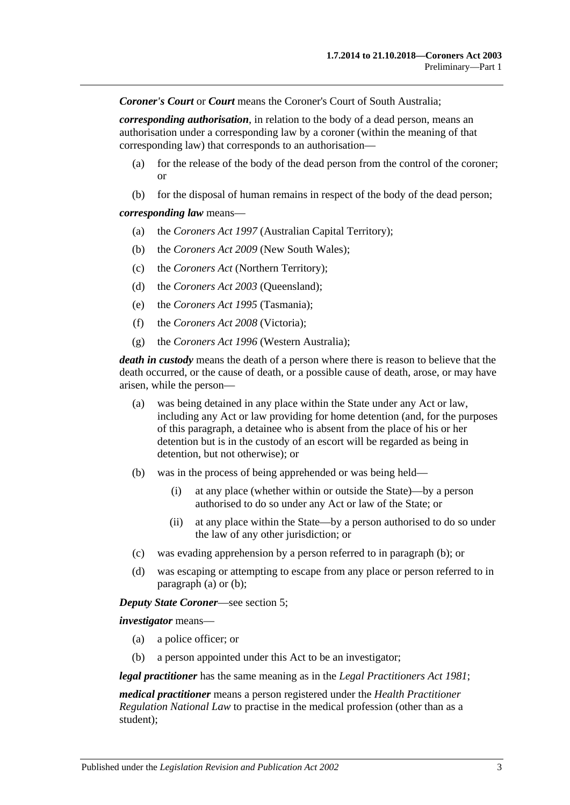*Coroner's Court* or *Court* means the Coroner's Court of South Australia;

*corresponding authorisation*, in relation to the body of a dead person, means an authorisation under a corresponding law by a coroner (within the meaning of that corresponding law) that corresponds to an authorisation—

- (a) for the release of the body of the dead person from the control of the coroner; or
- (b) for the disposal of human remains in respect of the body of the dead person;

#### *corresponding law* means—

- (a) the *Coroners Act 1997* (Australian Capital Territory);
- (b) the *Coroners Act 2009* (New South Wales);
- (c) the *Coroners Act* (Northern Territory);
- (d) the *Coroners Act 2003* (Queensland);
- (e) the *Coroners Act 1995* (Tasmania);
- (f) the *Coroners Act 2008* (Victoria);
- (g) the *Coroners Act 1996* (Western Australia);

<span id="page-2-1"></span>*death in custody* means the death of a person where there is reason to believe that the death occurred, or the cause of death, or a possible cause of death, arose, or may have arisen, while the person—

- (a) was being detained in any place within the State under any Act or law, including any Act or law providing for home detention (and, for the purposes of this paragraph, a detainee who is absent from the place of his or her detention but is in the custody of an escort will be regarded as being in detention, but not otherwise); or
- <span id="page-2-0"></span>(b) was in the process of being apprehended or was being held—
	- (i) at any place (whether within or outside the State)—by a person authorised to do so under any Act or law of the State; or
	- (ii) at any place within the State—by a person authorised to do so under the law of any other jurisdiction; or
- (c) was evading apprehension by a person referred to in [paragraph](#page-2-0) (b); or
- (d) was escaping or attempting to escape from any place or person referred to in [paragraph](#page-2-1) (a) or [\(b\);](#page-2-0)

#### *Deputy State Coroner*—see [section](#page-4-2) 5;

*investigator* means—

- (a) a police officer; or
- (b) a person appointed under this Act to be an investigator;

*legal practitioner* has the same meaning as in the *[Legal Practitioners Act](http://www.legislation.sa.gov.au/index.aspx?action=legref&type=act&legtitle=Legal%20Practitioners%20Act%201981) 1981*;

*medical practitioner* means a person registered under the *Health Practitioner Regulation National Law* to practise in the medical profession (other than as a student);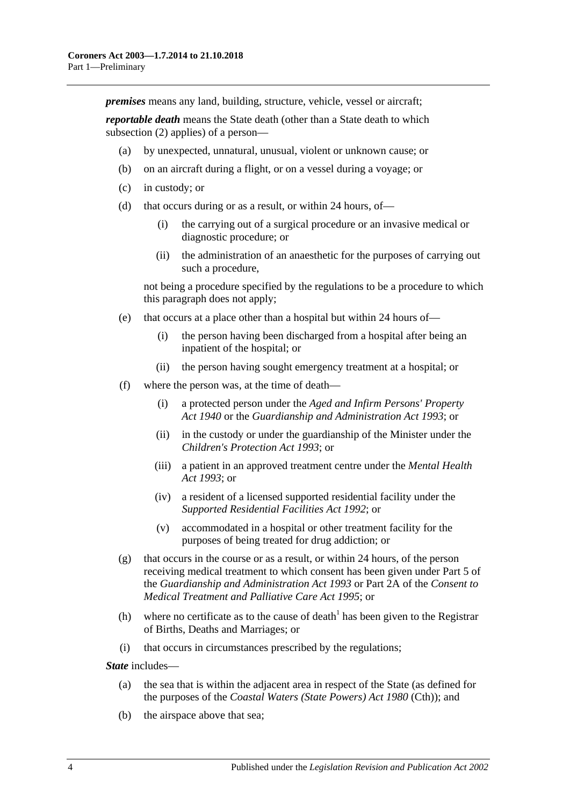*premises* means any land, building, structure, vehicle, vessel or aircraft;

*reportable death* means the State death (other than a State death to which [subsection](#page-4-4) (2) applies) of a person—

- (a) by unexpected, unnatural, unusual, violent or unknown cause; or
- (b) on an aircraft during a flight, or on a vessel during a voyage; or
- (c) in custody; or
- (d) that occurs during or as a result, or within 24 hours, of—
	- (i) the carrying out of a surgical procedure or an invasive medical or diagnostic procedure; or
	- (ii) the administration of an anaesthetic for the purposes of carrying out such a procedure,

not being a procedure specified by the regulations to be a procedure to which this paragraph does not apply;

- (e) that occurs at a place other than a hospital but within 24 hours of—
	- (i) the person having been discharged from a hospital after being an inpatient of the hospital; or
	- (ii) the person having sought emergency treatment at a hospital; or
- (f) where the person was, at the time of death—
	- (i) a protected person under the *[Aged and Infirm Persons' Property](http://www.legislation.sa.gov.au/index.aspx?action=legref&type=act&legtitle=Aged%20and%20Infirm%20Persons%20Property%20Act%201940)  Act [1940](http://www.legislation.sa.gov.au/index.aspx?action=legref&type=act&legtitle=Aged%20and%20Infirm%20Persons%20Property%20Act%201940)* or the *[Guardianship and Administration Act](http://www.legislation.sa.gov.au/index.aspx?action=legref&type=act&legtitle=Guardianship%20and%20Administration%20Act%201993) 1993*; or
	- (ii) in the custody or under the guardianship of the Minister under the *[Children's Protection Act](http://www.legislation.sa.gov.au/index.aspx?action=legref&type=act&legtitle=Childrens%20Protection%20Act%201993) 1993*; or
	- (iii) a patient in an approved treatment centre under the *[Mental Health](http://www.legislation.sa.gov.au/index.aspx?action=legref&type=act&legtitle=Mental%20Health%20Act%201993)  Act [1993](http://www.legislation.sa.gov.au/index.aspx?action=legref&type=act&legtitle=Mental%20Health%20Act%201993)*; or
	- (iv) a resident of a licensed supported residential facility under the *[Supported Residential Facilities Act](http://www.legislation.sa.gov.au/index.aspx?action=legref&type=act&legtitle=Supported%20Residential%20Facilities%20Act%201992) 1992*; or
	- (v) accommodated in a hospital or other treatment facility for the purposes of being treated for drug addiction; or
- (g) that occurs in the course or as a result, or within 24 hours, of the person receiving medical treatment to which consent has been given under Part 5 of the *[Guardianship and Administration Act](http://www.legislation.sa.gov.au/index.aspx?action=legref&type=act&legtitle=Guardianship%20and%20Administration%20Act%201993) 1993* or Part 2A of the *[Consent to](http://www.legislation.sa.gov.au/index.aspx?action=legref&type=act&legtitle=Consent%20to%20Medical%20Treatment%20and%20Palliative%20Care%20Act%201995)  [Medical Treatment and Palliative Care Act](http://www.legislation.sa.gov.au/index.aspx?action=legref&type=act&legtitle=Consent%20to%20Medical%20Treatment%20and%20Palliative%20Care%20Act%201995) 1995*; or
- (h) where no certificate as to the cause of death<sup>1</sup> has been given to the Registrar of Births, Deaths and Marriages; or
- (i) that occurs in circumstances prescribed by the regulations;

*State* includes—

- (a) the sea that is within the adjacent area in respect of the State (as defined for the purposes of the *Coastal Waters (State Powers) Act 1980* (Cth)); and
- (b) the airspace above that sea;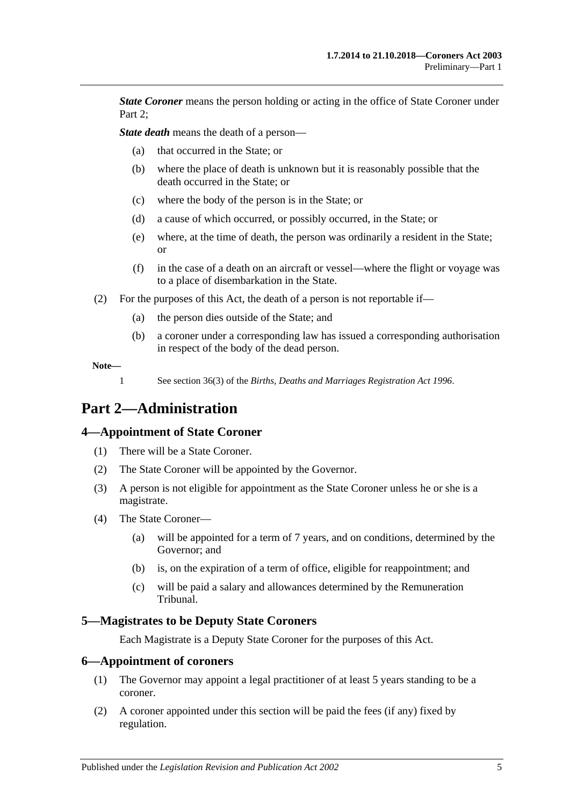*State Coroner* means the person holding or acting in the office of State Coroner under Part 2:

*State death* means the death of a person—

- (a) that occurred in the State; or
- (b) where the place of death is unknown but it is reasonably possible that the death occurred in the State; or
- (c) where the body of the person is in the State; or
- (d) a cause of which occurred, or possibly occurred, in the State; or
- (e) where, at the time of death, the person was ordinarily a resident in the State; or
- (f) in the case of a death on an aircraft or vessel—where the flight or voyage was to a place of disembarkation in the State.
- <span id="page-4-4"></span>(2) For the purposes of this Act, the death of a person is not reportable if—
	- (a) the person dies outside of the State; and
	- (b) a coroner under a corresponding law has issued a corresponding authorisation in respect of the body of the dead person.

**Note—**

1 See section 36(3) of the *[Births, Deaths and Marriages Registration Act](http://www.legislation.sa.gov.au/index.aspx?action=legref&type=act&legtitle=Births%20Deaths%20and%20Marriages%20Registration%20Act%201996) 1996*.

# <span id="page-4-0"></span>**Part 2—Administration**

## <span id="page-4-1"></span>**4—Appointment of State Coroner**

- (1) There will be a State Coroner.
- (2) The State Coroner will be appointed by the Governor.
- (3) A person is not eligible for appointment as the State Coroner unless he or she is a magistrate.
- (4) The State Coroner—
	- (a) will be appointed for a term of 7 years, and on conditions, determined by the Governor; and
	- (b) is, on the expiration of a term of office, eligible for reappointment; and
	- (c) will be paid a salary and allowances determined by the Remuneration Tribunal.

#### <span id="page-4-2"></span>**5—Magistrates to be Deputy State Coroners**

Each Magistrate is a Deputy State Coroner for the purposes of this Act.

#### <span id="page-4-3"></span>**6—Appointment of coroners**

- (1) The Governor may appoint a legal practitioner of at least 5 years standing to be a coroner.
- (2) A coroner appointed under this section will be paid the fees (if any) fixed by regulation.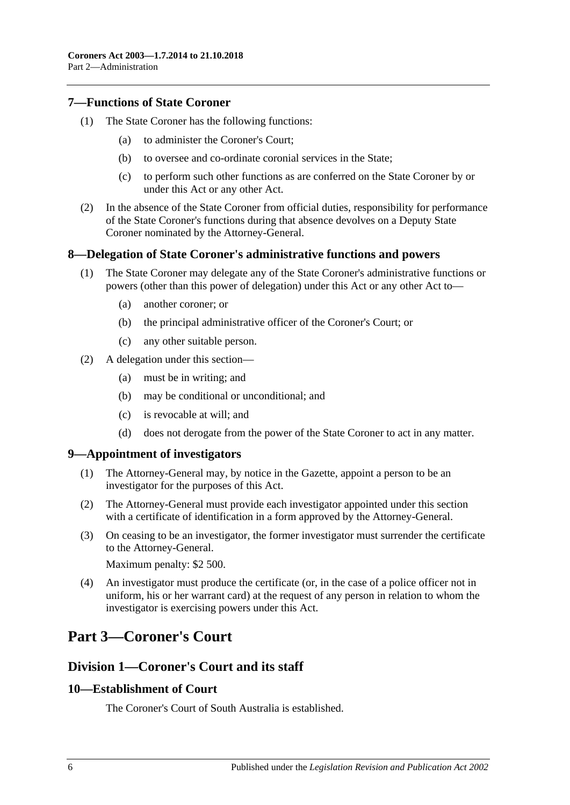### <span id="page-5-0"></span>**7—Functions of State Coroner**

- (1) The State Coroner has the following functions:
	- (a) to administer the Coroner's Court;
	- (b) to oversee and co-ordinate coronial services in the State;
	- (c) to perform such other functions as are conferred on the State Coroner by or under this Act or any other Act.
- (2) In the absence of the State Coroner from official duties, responsibility for performance of the State Coroner's functions during that absence devolves on a Deputy State Coroner nominated by the Attorney-General.

#### <span id="page-5-1"></span>**8—Delegation of State Coroner's administrative functions and powers**

- (1) The State Coroner may delegate any of the State Coroner's administrative functions or powers (other than this power of delegation) under this Act or any other Act to—
	- (a) another coroner; or
	- (b) the principal administrative officer of the Coroner's Court; or
	- (c) any other suitable person.
- (2) A delegation under this section—
	- (a) must be in writing; and
	- (b) may be conditional or unconditional; and
	- (c) is revocable at will; and
	- (d) does not derogate from the power of the State Coroner to act in any matter.

#### <span id="page-5-2"></span>**9—Appointment of investigators**

- (1) The Attorney-General may, by notice in the Gazette, appoint a person to be an investigator for the purposes of this Act.
- (2) The Attorney-General must provide each investigator appointed under this section with a certificate of identification in a form approved by the Attorney-General.
- (3) On ceasing to be an investigator, the former investigator must surrender the certificate to the Attorney-General.

Maximum penalty: \$2 500.

(4) An investigator must produce the certificate (or, in the case of a police officer not in uniform, his or her warrant card) at the request of any person in relation to whom the investigator is exercising powers under this Act.

# <span id="page-5-3"></span>**Part 3—Coroner's Court**

# <span id="page-5-4"></span>**Division 1—Coroner's Court and its staff**

#### <span id="page-5-5"></span>**10—Establishment of Court**

The Coroner's Court of South Australia is established.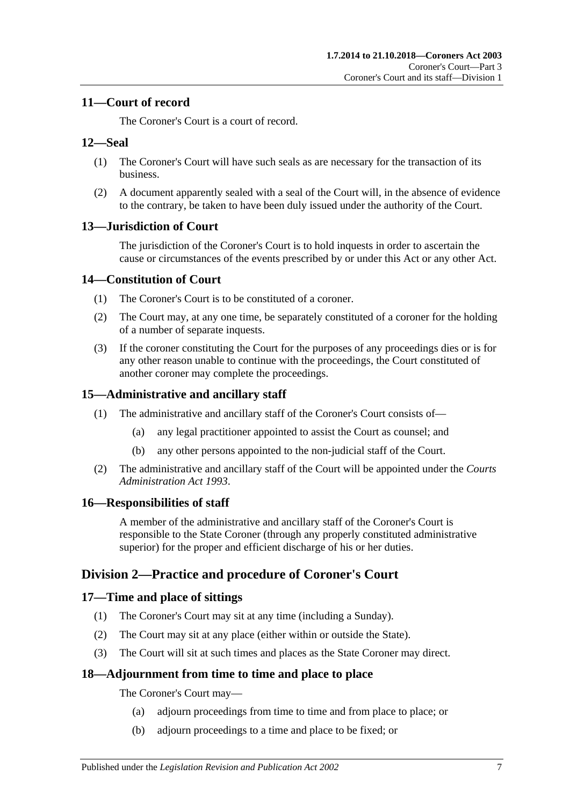# <span id="page-6-0"></span>**11—Court of record**

The Coroner's Court is a court of record.

## <span id="page-6-1"></span>**12—Seal**

- (1) The Coroner's Court will have such seals as are necessary for the transaction of its business.
- (2) A document apparently sealed with a seal of the Court will, in the absence of evidence to the contrary, be taken to have been duly issued under the authority of the Court.

# <span id="page-6-2"></span>**13—Jurisdiction of Court**

The jurisdiction of the Coroner's Court is to hold inquests in order to ascertain the cause or circumstances of the events prescribed by or under this Act or any other Act.

## <span id="page-6-3"></span>**14—Constitution of Court**

- (1) The Coroner's Court is to be constituted of a coroner.
- (2) The Court may, at any one time, be separately constituted of a coroner for the holding of a number of separate inquests.
- (3) If the coroner constituting the Court for the purposes of any proceedings dies or is for any other reason unable to continue with the proceedings, the Court constituted of another coroner may complete the proceedings.

# <span id="page-6-4"></span>**15—Administrative and ancillary staff**

- (1) The administrative and ancillary staff of the Coroner's Court consists of—
	- (a) any legal practitioner appointed to assist the Court as counsel; and
	- (b) any other persons appointed to the non-judicial staff of the Court.
- (2) The administrative and ancillary staff of the Court will be appointed under the *[Courts](http://www.legislation.sa.gov.au/index.aspx?action=legref&type=act&legtitle=Courts%20Administration%20Act%201993)  [Administration Act](http://www.legislation.sa.gov.au/index.aspx?action=legref&type=act&legtitle=Courts%20Administration%20Act%201993) 1993*.

## <span id="page-6-5"></span>**16—Responsibilities of staff**

A member of the administrative and ancillary staff of the Coroner's Court is responsible to the State Coroner (through any properly constituted administrative superior) for the proper and efficient discharge of his or her duties.

# <span id="page-6-6"></span>**Division 2—Practice and procedure of Coroner's Court**

## <span id="page-6-7"></span>**17—Time and place of sittings**

- (1) The Coroner's Court may sit at any time (including a Sunday).
- (2) The Court may sit at any place (either within or outside the State).
- (3) The Court will sit at such times and places as the State Coroner may direct.

## <span id="page-6-8"></span>**18—Adjournment from time to time and place to place**

The Coroner's Court may—

- (a) adjourn proceedings from time to time and from place to place; or
- (b) adjourn proceedings to a time and place to be fixed; or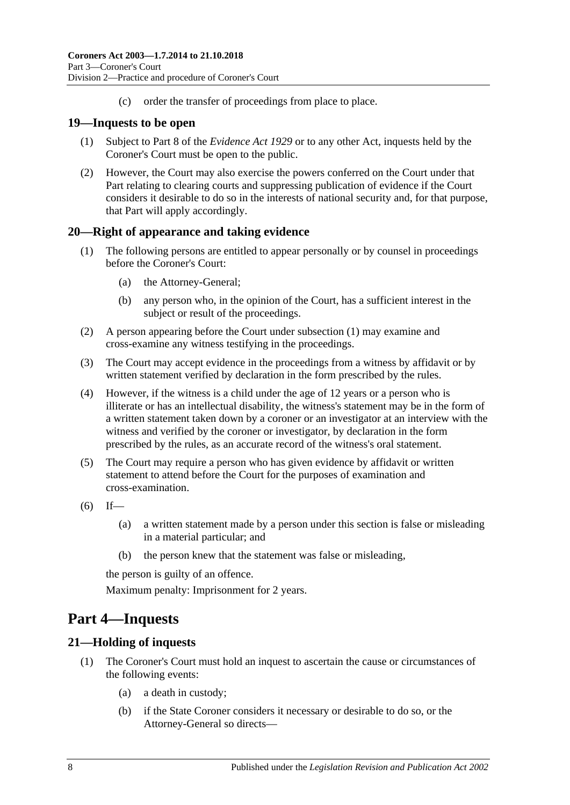(c) order the transfer of proceedings from place to place.

## <span id="page-7-0"></span>**19—Inquests to be open**

- (1) Subject to Part 8 of the *[Evidence Act](http://www.legislation.sa.gov.au/index.aspx?action=legref&type=act&legtitle=Evidence%20Act%201929) 1929* or to any other Act, inquests held by the Coroner's Court must be open to the public.
- (2) However, the Court may also exercise the powers conferred on the Court under that Part relating to clearing courts and suppressing publication of evidence if the Court considers it desirable to do so in the interests of national security and, for that purpose, that Part will apply accordingly.

## <span id="page-7-4"></span><span id="page-7-1"></span>**20—Right of appearance and taking evidence**

- (1) The following persons are entitled to appear personally or by counsel in proceedings before the Coroner's Court:
	- (a) the Attorney-General;
	- (b) any person who, in the opinion of the Court, has a sufficient interest in the subject or result of the proceedings.
- (2) A person appearing before the Court under [subsection](#page-7-4) (1) may examine and cross-examine any witness testifying in the proceedings.
- (3) The Court may accept evidence in the proceedings from a witness by affidavit or by written statement verified by declaration in the form prescribed by the rules.
- (4) However, if the witness is a child under the age of 12 years or a person who is illiterate or has an intellectual disability, the witness's statement may be in the form of a written statement taken down by a coroner or an investigator at an interview with the witness and verified by the coroner or investigator, by declaration in the form prescribed by the rules, as an accurate record of the witness's oral statement.
- (5) The Court may require a person who has given evidence by affidavit or written statement to attend before the Court for the purposes of examination and cross-examination.
- $(6)$  If—
	- (a) a written statement made by a person under this section is false or misleading in a material particular; and
	- (b) the person knew that the statement was false or misleading,

the person is guilty of an offence.

Maximum penalty: Imprisonment for 2 years.

# <span id="page-7-2"></span>**Part 4—Inquests**

## <span id="page-7-3"></span>**21—Holding of inquests**

- (1) The Coroner's Court must hold an inquest to ascertain the cause or circumstances of the following events:
	- (a) a death in custody;
	- (b) if the State Coroner considers it necessary or desirable to do so, or the Attorney-General so directs—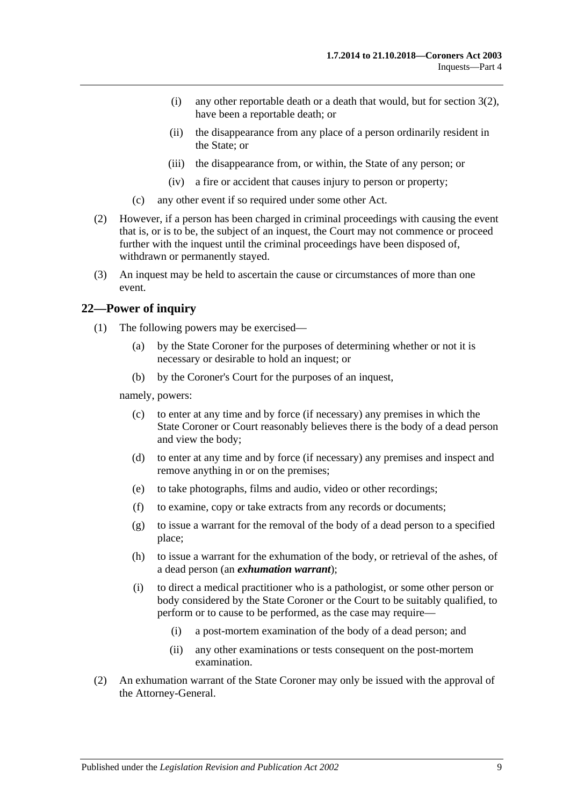- (i) any other reportable death or a death that would, but for [section](#page-4-4) 3(2), have been a reportable death; or
- (ii) the disappearance from any place of a person ordinarily resident in the State; or
- (iii) the disappearance from, or within, the State of any person; or
- (iv) a fire or accident that causes injury to person or property;
- (c) any other event if so required under some other Act.
- (2) However, if a person has been charged in criminal proceedings with causing the event that is, or is to be, the subject of an inquest, the Court may not commence or proceed further with the inquest until the criminal proceedings have been disposed of, withdrawn or permanently stayed.
- (3) An inquest may be held to ascertain the cause or circumstances of more than one event.

#### <span id="page-8-0"></span>**22—Power of inquiry**

- (1) The following powers may be exercised—
	- (a) by the State Coroner for the purposes of determining whether or not it is necessary or desirable to hold an inquest; or
	- (b) by the Coroner's Court for the purposes of an inquest,

<span id="page-8-1"></span>namely, powers:

- (c) to enter at any time and by force (if necessary) any premises in which the State Coroner or Court reasonably believes there is the body of a dead person and view the body;
- (d) to enter at any time and by force (if necessary) any premises and inspect and remove anything in or on the premises;
- <span id="page-8-2"></span>(e) to take photographs, films and audio, video or other recordings;
- (f) to examine, copy or take extracts from any records or documents;
- (g) to issue a warrant for the removal of the body of a dead person to a specified place;
- (h) to issue a warrant for the exhumation of the body, or retrieval of the ashes, of a dead person (an *exhumation warrant*);
- (i) to direct a medical practitioner who is a pathologist, or some other person or body considered by the State Coroner or the Court to be suitably qualified, to perform or to cause to be performed, as the case may require—
	- (i) a post-mortem examination of the body of a dead person; and
	- (ii) any other examinations or tests consequent on the post-mortem examination.
- (2) An exhumation warrant of the State Coroner may only be issued with the approval of the Attorney-General.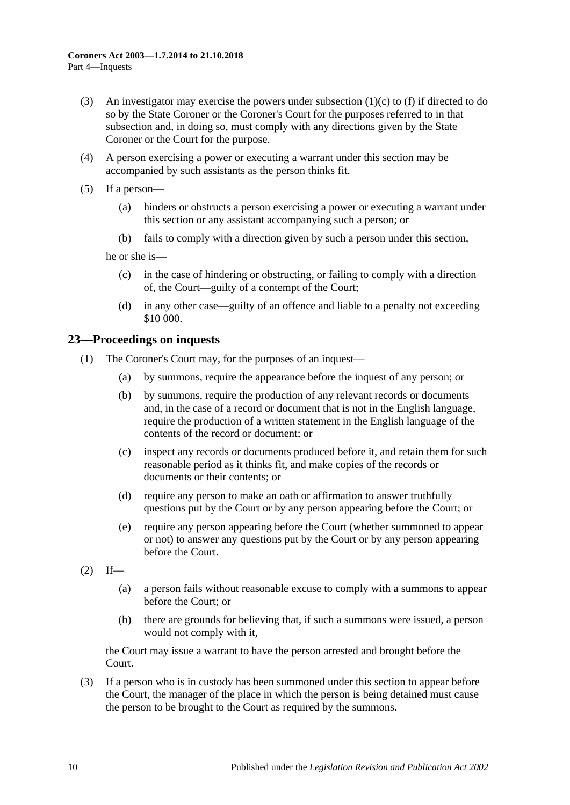- (3) An investigator may exercise the powers under [subsection](#page-8-1)  $(1)(c)$  to [\(f\)](#page-8-2) if directed to do so by the State Coroner or the Coroner's Court for the purposes referred to in that subsection and, in doing so, must comply with any directions given by the State Coroner or the Court for the purpose.
- (4) A person exercising a power or executing a warrant under this section may be accompanied by such assistants as the person thinks fit.
- (5) If a person—
	- (a) hinders or obstructs a person exercising a power or executing a warrant under this section or any assistant accompanying such a person; or
	- (b) fails to comply with a direction given by such a person under this section,

he or she is—

- (c) in the case of hindering or obstructing, or failing to comply with a direction of, the Court—guilty of a contempt of the Court;
- (d) in any other case—guilty of an offence and liable to a penalty not exceeding \$10 000.

#### <span id="page-9-0"></span>**23—Proceedings on inquests**

- (1) The Coroner's Court may, for the purposes of an inquest—
	- (a) by summons, require the appearance before the inquest of any person; or
	- (b) by summons, require the production of any relevant records or documents and, in the case of a record or document that is not in the English language, require the production of a written statement in the English language of the contents of the record or document; or
	- (c) inspect any records or documents produced before it, and retain them for such reasonable period as it thinks fit, and make copies of the records or documents or their contents; or
	- (d) require any person to make an oath or affirmation to answer truthfully questions put by the Court or by any person appearing before the Court; or
	- (e) require any person appearing before the Court (whether summoned to appear or not) to answer any questions put by the Court or by any person appearing before the Court.
- $(2)$  If—
	- (a) a person fails without reasonable excuse to comply with a summons to appear before the Court; or
	- (b) there are grounds for believing that, if such a summons were issued, a person would not comply with it,

the Court may issue a warrant to have the person arrested and brought before the Court.

(3) If a person who is in custody has been summoned under this section to appear before the Court, the manager of the place in which the person is being detained must cause the person to be brought to the Court as required by the summons.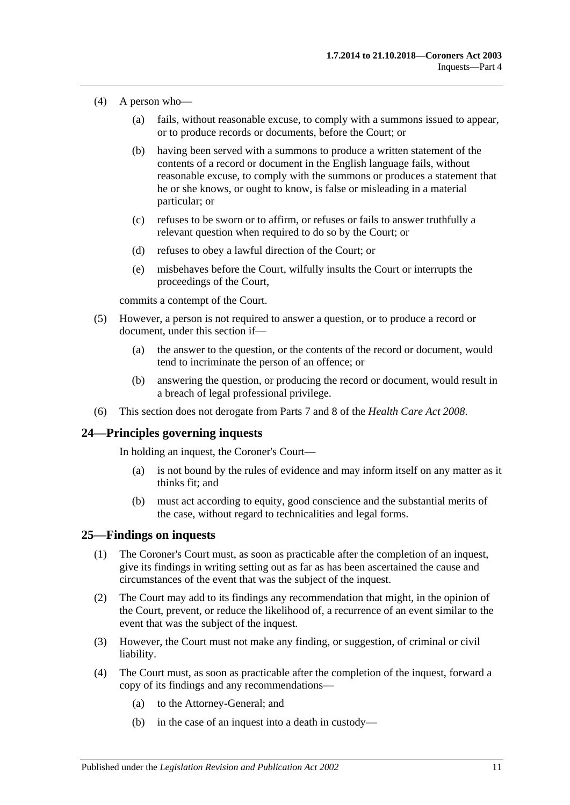- (4) A person who—
	- (a) fails, without reasonable excuse, to comply with a summons issued to appear, or to produce records or documents, before the Court; or
	- (b) having been served with a summons to produce a written statement of the contents of a record or document in the English language fails, without reasonable excuse, to comply with the summons or produces a statement that he or she knows, or ought to know, is false or misleading in a material particular; or
	- (c) refuses to be sworn or to affirm, or refuses or fails to answer truthfully a relevant question when required to do so by the Court; or
	- (d) refuses to obey a lawful direction of the Court; or
	- (e) misbehaves before the Court, wilfully insults the Court or interrupts the proceedings of the Court,

commits a contempt of the Court.

- (5) However, a person is not required to answer a question, or to produce a record or document, under this section if—
	- (a) the answer to the question, or the contents of the record or document, would tend to incriminate the person of an offence; or
	- (b) answering the question, or producing the record or document, would result in a breach of legal professional privilege.
- (6) This section does not derogate from Parts 7 and 8 of the *[Health Care Act](http://www.legislation.sa.gov.au/index.aspx?action=legref&type=act&legtitle=Health%20Care%20Act%202008) 2008*.

#### <span id="page-10-0"></span>**24—Principles governing inquests**

In holding an inquest, the Coroner's Court—

- (a) is not bound by the rules of evidence and may inform itself on any matter as it thinks fit; and
- (b) must act according to equity, good conscience and the substantial merits of the case, without regard to technicalities and legal forms.

#### <span id="page-10-1"></span>**25—Findings on inquests**

- (1) The Coroner's Court must, as soon as practicable after the completion of an inquest, give its findings in writing setting out as far as has been ascertained the cause and circumstances of the event that was the subject of the inquest.
- (2) The Court may add to its findings any recommendation that might, in the opinion of the Court, prevent, or reduce the likelihood of, a recurrence of an event similar to the event that was the subject of the inquest.
- (3) However, the Court must not make any finding, or suggestion, of criminal or civil liability.
- (4) The Court must, as soon as practicable after the completion of the inquest, forward a copy of its findings and any recommendations—
	- (a) to the Attorney-General; and
	- (b) in the case of an inquest into a death in custody—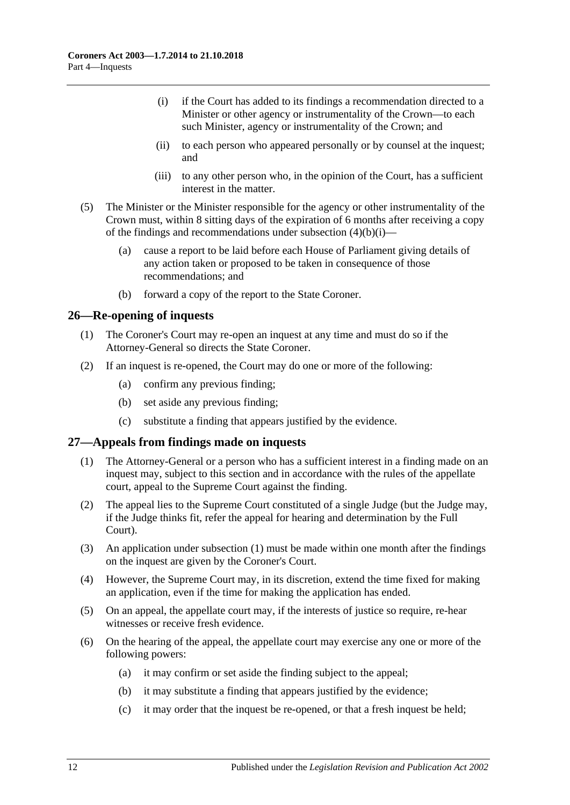- <span id="page-11-2"></span>(i) if the Court has added to its findings a recommendation directed to a Minister or other agency or instrumentality of the Crown—to each such Minister, agency or instrumentality of the Crown; and
- (ii) to each person who appeared personally or by counsel at the inquest; and
- (iii) to any other person who, in the opinion of the Court, has a sufficient interest in the matter.
- (5) The Minister or the Minister responsible for the agency or other instrumentality of the Crown must, within 8 sitting days of the expiration of 6 months after receiving a copy of the findings and recommendations under [subsection](#page-11-2)  $(4)(b)(i)$ —
	- (a) cause a report to be laid before each House of Parliament giving details of any action taken or proposed to be taken in consequence of those recommendations; and
	- (b) forward a copy of the report to the State Coroner.

#### <span id="page-11-0"></span>**26—Re-opening of inquests**

- (1) The Coroner's Court may re-open an inquest at any time and must do so if the Attorney-General so directs the State Coroner.
- (2) If an inquest is re-opened, the Court may do one or more of the following:
	- (a) confirm any previous finding;
	- (b) set aside any previous finding;
	- (c) substitute a finding that appears justified by the evidence.

## <span id="page-11-3"></span><span id="page-11-1"></span>**27—Appeals from findings made on inquests**

- (1) The Attorney-General or a person who has a sufficient interest in a finding made on an inquest may, subject to this section and in accordance with the rules of the appellate court, appeal to the Supreme Court against the finding.
- (2) The appeal lies to the Supreme Court constituted of a single Judge (but the Judge may, if the Judge thinks fit, refer the appeal for hearing and determination by the Full Court).
- (3) An application under [subsection](#page-11-3) (1) must be made within one month after the findings on the inquest are given by the Coroner's Court.
- (4) However, the Supreme Court may, in its discretion, extend the time fixed for making an application, even if the time for making the application has ended.
- (5) On an appeal, the appellate court may, if the interests of justice so require, re-hear witnesses or receive fresh evidence.
- (6) On the hearing of the appeal, the appellate court may exercise any one or more of the following powers:
	- (a) it may confirm or set aside the finding subject to the appeal;
	- (b) it may substitute a finding that appears justified by the evidence;
	- (c) it may order that the inquest be re-opened, or that a fresh inquest be held;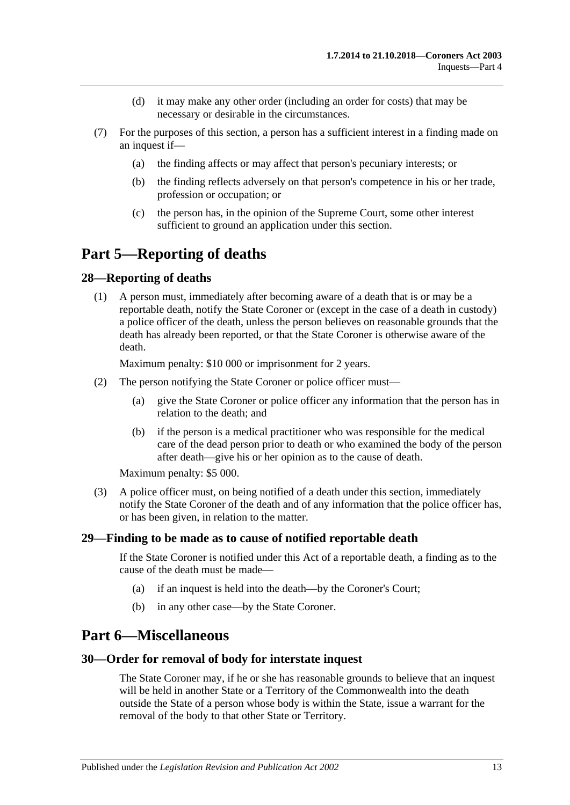- (d) it may make any other order (including an order for costs) that may be necessary or desirable in the circumstances.
- (7) For the purposes of this section, a person has a sufficient interest in a finding made on an inquest if—
	- (a) the finding affects or may affect that person's pecuniary interests; or
	- (b) the finding reflects adversely on that person's competence in his or her trade, profession or occupation; or
	- (c) the person has, in the opinion of the Supreme Court, some other interest sufficient to ground an application under this section.

# <span id="page-12-0"></span>**Part 5—Reporting of deaths**

#### <span id="page-12-1"></span>**28—Reporting of deaths**

(1) A person must, immediately after becoming aware of a death that is or may be a reportable death, notify the State Coroner or (except in the case of a death in custody) a police officer of the death, unless the person believes on reasonable grounds that the death has already been reported, or that the State Coroner is otherwise aware of the death.

Maximum penalty: \$10 000 or imprisonment for 2 years.

- (2) The person notifying the State Coroner or police officer must—
	- (a) give the State Coroner or police officer any information that the person has in relation to the death; and
	- (b) if the person is a medical practitioner who was responsible for the medical care of the dead person prior to death or who examined the body of the person after death—give his or her opinion as to the cause of death.

Maximum penalty: \$5 000.

(3) A police officer must, on being notified of a death under this section, immediately notify the State Coroner of the death and of any information that the police officer has, or has been given, in relation to the matter.

#### <span id="page-12-2"></span>**29—Finding to be made as to cause of notified reportable death**

If the State Coroner is notified under this Act of a reportable death, a finding as to the cause of the death must be made—

- (a) if an inquest is held into the death—by the Coroner's Court;
- (b) in any other case—by the State Coroner.

# <span id="page-12-3"></span>**Part 6—Miscellaneous**

#### <span id="page-12-4"></span>**30—Order for removal of body for interstate inquest**

The State Coroner may, if he or she has reasonable grounds to believe that an inquest will be held in another State or a Territory of the Commonwealth into the death outside the State of a person whose body is within the State, issue a warrant for the removal of the body to that other State or Territory.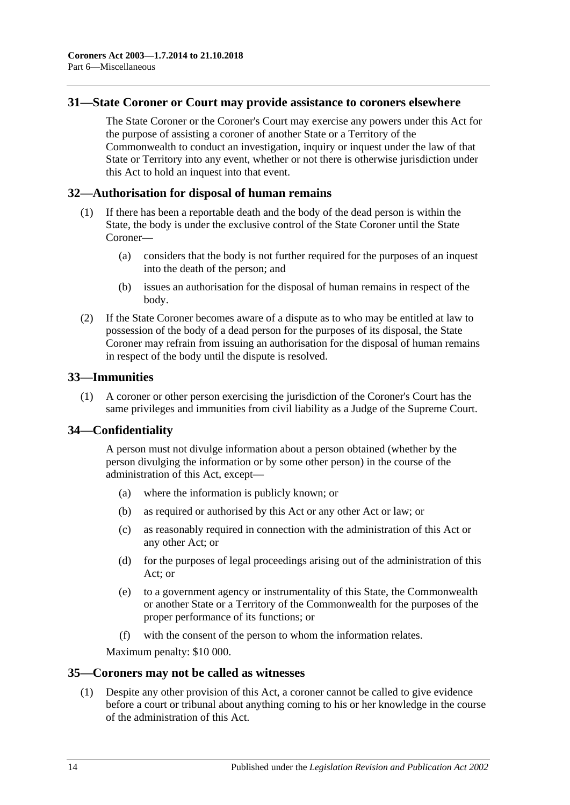#### <span id="page-13-0"></span>**31—State Coroner or Court may provide assistance to coroners elsewhere**

The State Coroner or the Coroner's Court may exercise any powers under this Act for the purpose of assisting a coroner of another State or a Territory of the Commonwealth to conduct an investigation, inquiry or inquest under the law of that State or Territory into any event, whether or not there is otherwise jurisdiction under this Act to hold an inquest into that event.

#### <span id="page-13-1"></span>**32—Authorisation for disposal of human remains**

- (1) If there has been a reportable death and the body of the dead person is within the State, the body is under the exclusive control of the State Coroner until the State Coroner—
	- (a) considers that the body is not further required for the purposes of an inquest into the death of the person; and
	- (b) issues an authorisation for the disposal of human remains in respect of the body.
- (2) If the State Coroner becomes aware of a dispute as to who may be entitled at law to possession of the body of a dead person for the purposes of its disposal, the State Coroner may refrain from issuing an authorisation for the disposal of human remains in respect of the body until the dispute is resolved.

#### <span id="page-13-2"></span>**33—Immunities**

(1) A coroner or other person exercising the jurisdiction of the Coroner's Court has the same privileges and immunities from civil liability as a Judge of the Supreme Court.

## <span id="page-13-3"></span>**34—Confidentiality**

A person must not divulge information about a person obtained (whether by the person divulging the information or by some other person) in the course of the administration of this Act, except—

- (a) where the information is publicly known; or
- (b) as required or authorised by this Act or any other Act or law; or
- (c) as reasonably required in connection with the administration of this Act or any other Act; or
- (d) for the purposes of legal proceedings arising out of the administration of this Act; or
- (e) to a government agency or instrumentality of this State, the Commonwealth or another State or a Territory of the Commonwealth for the purposes of the proper performance of its functions; or
- (f) with the consent of the person to whom the information relates.

Maximum penalty: \$10 000.

#### <span id="page-13-5"></span><span id="page-13-4"></span>**35—Coroners may not be called as witnesses**

(1) Despite any other provision of this Act, a coroner cannot be called to give evidence before a court or tribunal about anything coming to his or her knowledge in the course of the administration of this Act.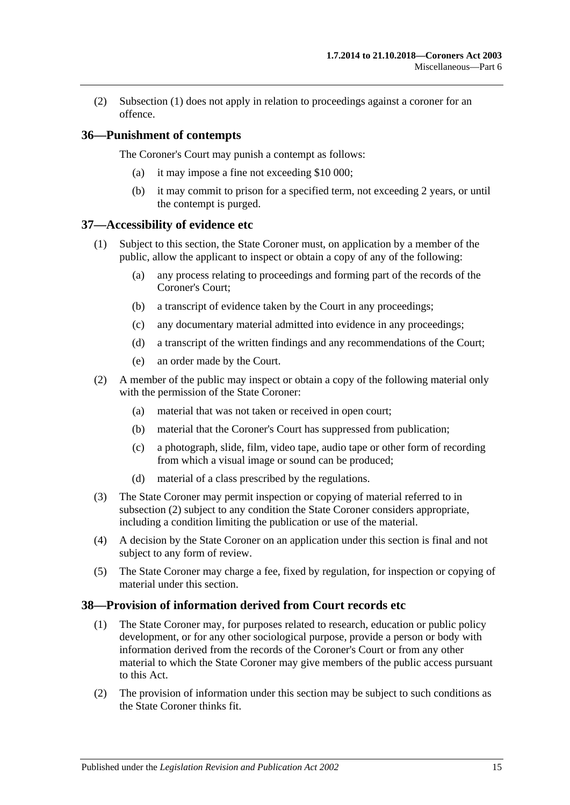(2) [Subsection](#page-13-5) (1) does not apply in relation to proceedings against a coroner for an offence.

### <span id="page-14-0"></span>**36—Punishment of contempts**

The Coroner's Court may punish a contempt as follows:

- (a) it may impose a fine not exceeding \$10 000;
- (b) it may commit to prison for a specified term, not exceeding 2 years, or until the contempt is purged.

#### <span id="page-14-1"></span>**37—Accessibility of evidence etc**

- (1) Subject to this section, the State Coroner must, on application by a member of the public, allow the applicant to inspect or obtain a copy of any of the following:
	- (a) any process relating to proceedings and forming part of the records of the Coroner's Court;
	- (b) a transcript of evidence taken by the Court in any proceedings;
	- (c) any documentary material admitted into evidence in any proceedings;
	- (d) a transcript of the written findings and any recommendations of the Court;
	- (e) an order made by the Court.
- <span id="page-14-3"></span>(2) A member of the public may inspect or obtain a copy of the following material only with the permission of the State Coroner:
	- (a) material that was not taken or received in open court;
	- (b) material that the Coroner's Court has suppressed from publication;
	- (c) a photograph, slide, film, video tape, audio tape or other form of recording from which a visual image or sound can be produced;
	- (d) material of a class prescribed by the regulations.
- (3) The State Coroner may permit inspection or copying of material referred to in [subsection](#page-14-3) (2) subject to any condition the State Coroner considers appropriate, including a condition limiting the publication or use of the material.
- (4) A decision by the State Coroner on an application under this section is final and not subject to any form of review.
- (5) The State Coroner may charge a fee, fixed by regulation, for inspection or copying of material under this section.

# <span id="page-14-2"></span>**38—Provision of information derived from Court records etc**

- (1) The State Coroner may, for purposes related to research, education or public policy development, or for any other sociological purpose, provide a person or body with information derived from the records of the Coroner's Court or from any other material to which the State Coroner may give members of the public access pursuant to this Act.
- (2) The provision of information under this section may be subject to such conditions as the State Coroner thinks fit.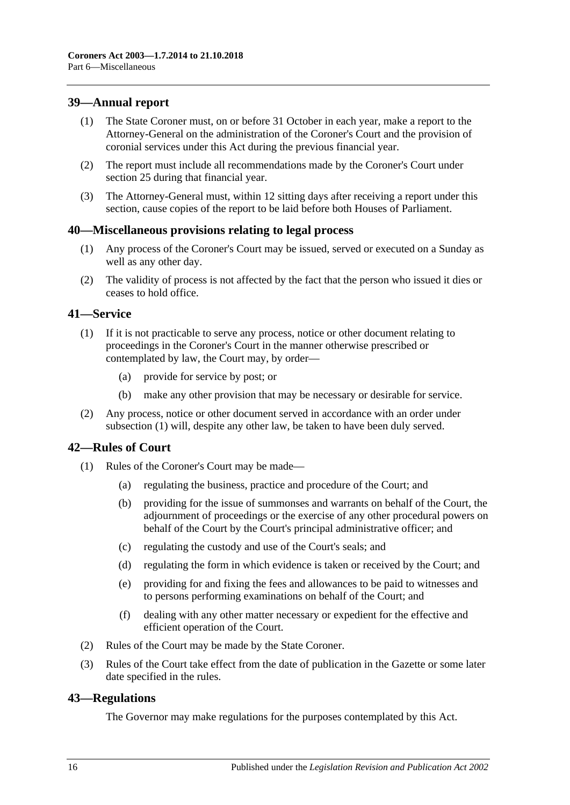## <span id="page-15-0"></span>**39—Annual report**

- (1) The State Coroner must, on or before 31 October in each year, make a report to the Attorney-General on the administration of the Coroner's Court and the provision of coronial services under this Act during the previous financial year.
- (2) The report must include all recommendations made by the Coroner's Court under [section](#page-10-1) 25 during that financial year.
- (3) The Attorney-General must, within 12 sitting days after receiving a report under this section, cause copies of the report to be laid before both Houses of Parliament.

#### <span id="page-15-1"></span>**40—Miscellaneous provisions relating to legal process**

- (1) Any process of the Coroner's Court may be issued, served or executed on a Sunday as well as any other day.
- (2) The validity of process is not affected by the fact that the person who issued it dies or ceases to hold office.

#### <span id="page-15-5"></span><span id="page-15-2"></span>**41—Service**

- (1) If it is not practicable to serve any process, notice or other document relating to proceedings in the Coroner's Court in the manner otherwise prescribed or contemplated by law, the Court may, by order—
	- (a) provide for service by post; or
	- (b) make any other provision that may be necessary or desirable for service.
- (2) Any process, notice or other document served in accordance with an order under [subsection](#page-15-5) (1) will, despite any other law, be taken to have been duly served.

#### <span id="page-15-3"></span>**42—Rules of Court**

- (1) Rules of the Coroner's Court may be made—
	- (a) regulating the business, practice and procedure of the Court; and
	- (b) providing for the issue of summonses and warrants on behalf of the Court, the adjournment of proceedings or the exercise of any other procedural powers on behalf of the Court by the Court's principal administrative officer; and
	- (c) regulating the custody and use of the Court's seals; and
	- (d) regulating the form in which evidence is taken or received by the Court; and
	- (e) providing for and fixing the fees and allowances to be paid to witnesses and to persons performing examinations on behalf of the Court; and
	- (f) dealing with any other matter necessary or expedient for the effective and efficient operation of the Court.
- (2) Rules of the Court may be made by the State Coroner.
- (3) Rules of the Court take effect from the date of publication in the Gazette or some later date specified in the rules.

#### <span id="page-15-4"></span>**43—Regulations**

The Governor may make regulations for the purposes contemplated by this Act.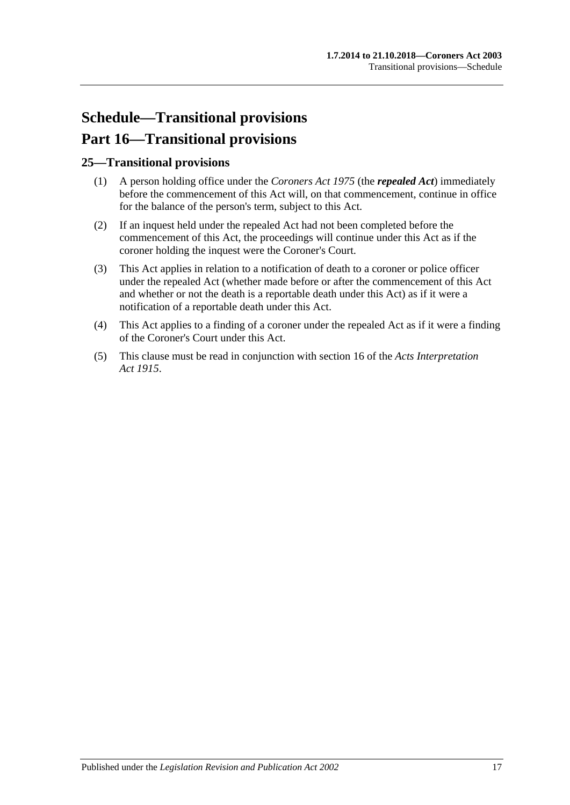# <span id="page-16-0"></span>**Schedule—Transitional provisions Part 16—Transitional provisions**

# <span id="page-16-1"></span>**25—Transitional provisions**

- (1) A person holding office under the *[Coroners Act](http://www.legislation.sa.gov.au/index.aspx?action=legref&type=act&legtitle=Coroners%20Act%201975) 1975* (the *repealed Act*) immediately before the commencement of this Act will, on that commencement, continue in office for the balance of the person's term, subject to this Act.
- (2) If an inquest held under the repealed Act had not been completed before the commencement of this Act, the proceedings will continue under this Act as if the coroner holding the inquest were the Coroner's Court.
- (3) This Act applies in relation to a notification of death to a coroner or police officer under the repealed Act (whether made before or after the commencement of this Act and whether or not the death is a reportable death under this Act) as if it were a notification of a reportable death under this Act.
- (4) This Act applies to a finding of a coroner under the repealed Act as if it were a finding of the Coroner's Court under this Act.
- (5) This clause must be read in conjunction with section 16 of the *[Acts Interpretation](http://www.legislation.sa.gov.au/index.aspx?action=legref&type=act&legtitle=Acts%20Interpretation%20Act%201915)  Act [1915](http://www.legislation.sa.gov.au/index.aspx?action=legref&type=act&legtitle=Acts%20Interpretation%20Act%201915)*.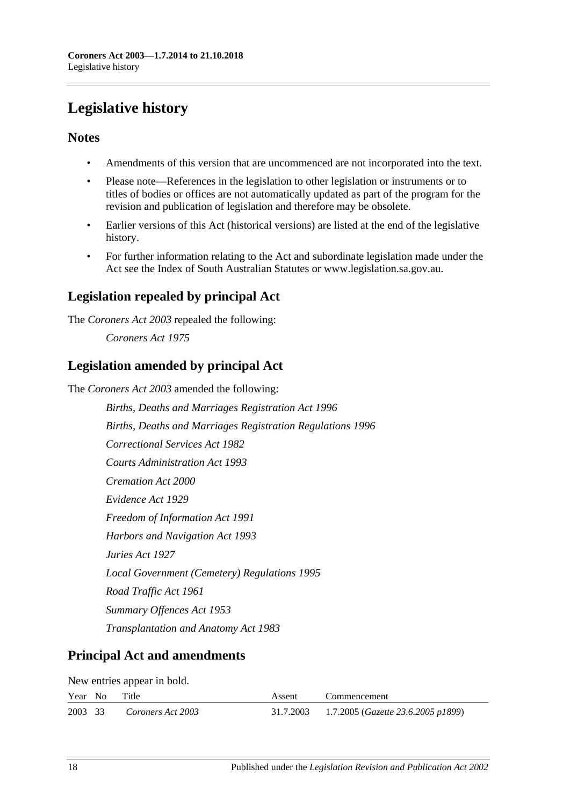# <span id="page-17-0"></span>**Legislative history**

# **Notes**

- Amendments of this version that are uncommenced are not incorporated into the text.
- Please note—References in the legislation to other legislation or instruments or to titles of bodies or offices are not automatically updated as part of the program for the revision and publication of legislation and therefore may be obsolete.
- Earlier versions of this Act (historical versions) are listed at the end of the legislative history.
- For further information relating to the Act and subordinate legislation made under the Act see the Index of South Australian Statutes or www.legislation.sa.gov.au.

# **Legislation repealed by principal Act**

The *Coroners Act 2003* repealed the following:

*Coroners Act 1975*

# **Legislation amended by principal Act**

The *Coroners Act 2003* amended the following:

*Births, Deaths and Marriages Registration Act 1996 Births, Deaths and Marriages Registration Regulations 1996 Correctional Services Act 1982 Courts Administration Act 1993 Cremation Act 2000 Evidence Act 1929 Freedom of Information Act 1991 Harbors and Navigation Act 1993 Juries Act 1927 Local Government (Cemetery) Regulations 1995 Road Traffic Act 1961 Summary Offences Act 1953 Transplantation and Anatomy Act 1983*

# **Principal Act and amendments**

New entries appear in bold.

|         | Year No | Title             | Assent | Commencement                                          |
|---------|---------|-------------------|--------|-------------------------------------------------------|
| 2003 33 |         | Coroners Act 2003 |        | 31.7.2003 1.7.2005 ( <i>Gazette 23.6.2005 p1899</i> ) |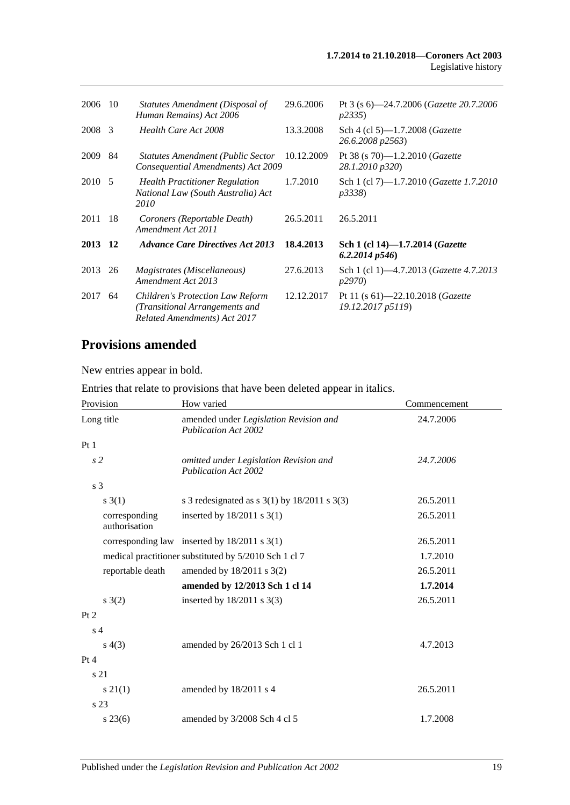| 2006   | -10 | Statutes Amendment (Disposal of<br>Human Remains) Act 2006                                                | 29.6.2006  | Pt 3 (s $6$ )—24.7.2006 ( <i>Gazette</i> 20.7.2006<br>p2335       |
|--------|-----|-----------------------------------------------------------------------------------------------------------|------------|-------------------------------------------------------------------|
| 2008   | 3   | Health Care Act 2008                                                                                      | 13.3.2008  | Sch 4 (cl 5)-1.7.2008 (Gazette<br>26.6.2008 p2563)                |
| 2009   | 84  | <b>Statutes Amendment (Public Sector</b><br>Consequential Amendments) Act 2009                            | 10.12.2009 | Pt 38 (s 70)-1.2.2010 ( <i>Gazette</i><br>28.1.2010 p320)         |
| 2010 5 |     | <b>Health Practitioner Regulation</b><br>National Law (South Australia) Act<br>2010                       | 1.7.2010   | Sch 1 (cl 7)—1.7.2010 ( <i>Gazette 1.7.2010</i><br><i>p3338</i> ) |
| 2011   | -18 | Coroners (Reportable Death)<br>Amendment Act 2011                                                         | 26.5.2011  | 26.5.2011                                                         |
| 2013   | 12  | <b>Advance Care Directives Act 2013</b>                                                                   | 18.4.2013  | Sch 1 (cl 14)-1.7.2014 ( <i>Gazette</i><br>6.2.2014p546           |
| 2013   | 26  | <i>Magistrates (Miscellaneous)</i><br>Amendment Act 2013                                                  | 27.6.2013  | Sch 1 (cl 1)-4.7.2013 ( <i>Gazette 4.7.2013</i><br><i>p</i> 2970) |
| 2017   | 64  | <b>Children's Protection Law Reform</b><br>(Transitional Arrangements and<br>Related Amendments) Act 2017 | 12.12.2017 | Pt 11 (s $61$ )-22.10.2018 ( <i>Gazette</i><br>19.12.2017 p5119)  |

# **Provisions amended**

New entries appear in bold.

| Entries that relate to provisions that have been deleted appear in italics. |  |  |  |  |  |
|-----------------------------------------------------------------------------|--|--|--|--|--|
|-----------------------------------------------------------------------------|--|--|--|--|--|

| Provision      |                                | How varied                                                            | Commencement |  |
|----------------|--------------------------------|-----------------------------------------------------------------------|--------------|--|
|                | Long title                     | amended under Legislation Revision and<br><b>Publication Act 2002</b> | 24.7.2006    |  |
| Pt1            |                                |                                                                       |              |  |
| s <sub>2</sub> |                                | omitted under Legislation Revision and<br><b>Publication Act 2002</b> | 24.7.2006    |  |
| s <sub>3</sub> |                                |                                                                       |              |  |
|                | s(3(1))                        | s 3 redesignated as s $3(1)$ by $18/2011$ s $3(3)$                    | 26.5.2011    |  |
|                | corresponding<br>authorisation | inserted by $18/2011$ s 3(1)                                          | 26.5.2011    |  |
|                |                                | corresponding law inserted by $18/2011$ s 3(1)                        | 26.5.2011    |  |
|                |                                | medical practitioner substituted by 5/2010 Sch 1 cl 7                 | 1.7.2010     |  |
|                | reportable death               | amended by 18/2011 s 3(2)                                             | 26.5.2011    |  |
|                |                                | amended by 12/2013 Sch 1 cl 14                                        | 1.7.2014     |  |
|                | s(2)                           | inserted by $18/2011$ s $3(3)$                                        | 26.5.2011    |  |
| Pt 2           |                                |                                                                       |              |  |
| s <sub>4</sub> |                                |                                                                       |              |  |
|                | s(4(3))                        | amended by 26/2013 Sch 1 cl 1                                         | 4.7.2013     |  |
| Pt 4           |                                |                                                                       |              |  |
|                | s 21                           |                                                                       |              |  |
|                | $s \, 21(1)$                   | amended by 18/2011 s 4                                                | 26.5.2011    |  |
|                | s 23                           |                                                                       |              |  |
|                | $s\,23(6)$                     | amended by 3/2008 Sch 4 cl 5                                          | 1.7.2008     |  |